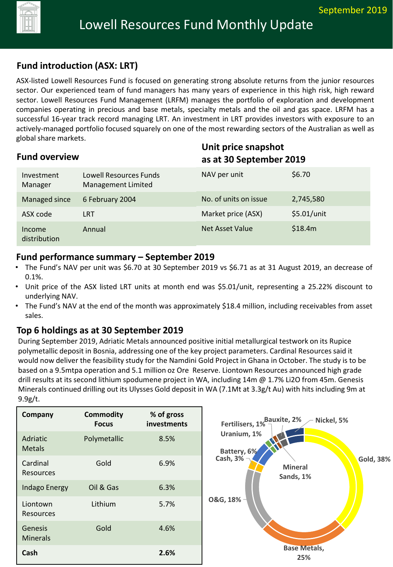

## **Fund introduction (ASX: LRT)**

ASX-listed Lowell Resources Fund is focused on generating strong absolute returns from the junior resources sector. Our experienced team of fund managers has many years of experience in this high risk, high reward sector. Lowell Resources Fund Management (LRFM) manages the portfolio of exploration and development companies operating in precious and base metals, specialty metals and the oil and gas space. LRFM has a successful 16-year track record managing LRT. An investment in LRT provides investors with exposure to an actively-managed portfolio focused squarely on one of the most rewarding sectors of the Australian as well as global share markets.

| <b>Fund overview</b>   |                                                     |                       | Unit price snapshot<br>as at 30 September 2019 |  |
|------------------------|-----------------------------------------------------|-----------------------|------------------------------------------------|--|
| Investment<br>Manager  | Lowell Resources Funds<br><b>Management Limited</b> | NAV per unit          | \$6.70                                         |  |
| Managed since          | 6 February 2004                                     | No. of units on issue | 2,745,580                                      |  |
| ASX code               | <b>LRT</b>                                          | Market price (ASX)    | \$5.01/unit                                    |  |
| Income<br>distribution | Annual                                              | Net Asset Value       | \$18.4m                                        |  |

#### **Fund performance summary – September 2019**

- The Fund's NAV per unit was \$6.70 at 30 September 2019 vs \$6.71 as at 31 August 2019, an decrease of 0.1%.
- Unit price of the ASX listed LRT units at month end was \$5.01/unit, representing a 25.22% discount to underlying NAV.
- The Fund's NAV at the end of the month was approximately \$18.4 million, including receivables from asset sales.

# **Top 6 holdings as at 30 September 2019**

During September 2019, Adriatic Metals announced positive initial metallurgical testwork on its Rupice polymetallic deposit in Bosnia, addressing one of the key project parameters. Cardinal Resources said it would now deliver the feasibility study for the Namdini Gold Project in Ghana in October. The study is to be based on a 9.5mtpa operation and 5.1 million oz Ore Reserve. Liontown Resources announced high grade drill results at its second lithium spodumene project in WA, including 14m @ 1.7% Li2O from 45m. Genesis Minerals continued drilling out its Ulysses Gold deposit in WA (7.1Mt at 3.3g/t Au) with hits including 9m at 9.9g/t.